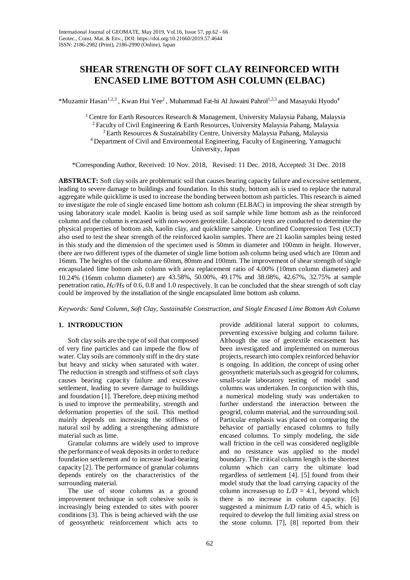# **SHEAR STRENGTH OF SOFT CLAY REINFORCED WITH ENCASED LIME BOTTOM ASH COLUMN (ELBAC)**

\*Muzamir Hasan<sup>1,2,3</sup>, Kwan Hui Yee<sup>2</sup>, Muhammad Fat-hi Al Juwaini Pahrol<sup>1,2,3</sup> and Masayuki Hyodo<sup>4</sup>

<sup>1</sup> Centre for Earth Resources Research & Management, University Malaysia Pahang, Malaysia 2 Faculty of Civil Engineering & Earth Resources, University Malaysia Pahang, Malaysia 3 Earth Resources & Sustainability Centre, University Malaysia Pahang, Malaysia 4 Department of Civil and Environmental Engineering, Faculty of Engineering, Yamaguchi University, Japan

\*Corresponding Author, Received: 10 Nov. 2018, Revised: 11 Dec. 2018, Accepted: 31 Dec. 2018

**ABSTRACT:** Soft clay soils are problematic soilthat causes bearing capacity failure and excessive settlement, leading to severe damage to buildings and foundation. In this study, bottom ash is used to replace the natural aggregate while quicklime is used to increase the bonding between bottom ash particles. This research is aimed to investigate the role of single encased lime bottom ash column (ELBAC) in improving the shear strength by using laboratory scale model. Kaolin is being used as soil sample while lime bottom ash as the reinforced column and the column is encased with non-woven geotextile. Laboratory tests are conducted to determine the physical properties of bottom ash, kaolin clay, and quicklime sample. Unconfined Compression Test (UCT) also used to test the shear strength of the reinforced kaolin samples. There are 21 kaolin samples being tested in this study and the dimension of the specimen used is 50mm in diameter and 100mm in height. However, there are two different types of the diameter of single lime bottom ash column being used which are 10mm and 16mm. The heights of the column are 60mm, 80mm and 100mm. The improvement of shear strength ofsingle encapsulated lime bottom ash column with area replacement ratio of 4.00% (10mm column diameter) and 10.24% (16mm column diameter) are 43.58%, 50.00%, 49.17% and 38.08%, 42.67%, 32.75% at sample penetration ratio, *Hc/Hs* of 0.6, 0.8 and 1.0 respectively. It can be concluded that the shear strength of soft clay could be improved by the installation of the single encapsulated lime bottom ash column.

*Keywords: Sand Column, Soft Clay, Sustainable Construction, and Single Encased Lime Bottom Ash Column*

# **1. INTRODUCTION**

Soft clay soils are the type of soil that composed of very fine particles and can impede the flow of water. Clay soils are commonly stiff in the dry state but heavy and sticky when saturated with water. The reduction in strength and stiffness of soft clays causes bearing capacity failure and excessive settlement, leading to severe damage to buildings and foundation [1]. Therefore, deep mixing method is used to improve the permeability, strength and deformation properties of the soil. This method mainly depends on increasing the stiffness of natural soil by adding a strengthening admixture material such as lime.

Granular columns are widely used to improve the performance of weak deposits in order to reduce foundation settlement and to increase load-bearing capacity [2]. The performance of granular columns depends entirely on the characteristics of the surrounding material.

The use of stone columns as a ground improvement technique in soft cohesive soils is increasingly being extended to sites with poorer conditions [3]. This is being achieved with the use of geosynthetic reinforcement which acts to

provide additional lateral support to columns, preventing excessive bulging and column failure. Although the use of geotextile encasement has been investigated and implemented on numerous projects, research into complex reinforced behavior is ongoing. In addition, the concept of using other geosynthetic materials such as geogrid for columns, small-scale laboratory testing of model sand columns was undertaken. In conjunction with this, a numerical modeling study was undertaken to further understand the interaction between the geogrid, column material, and the surrounding soil. Particular emphasis was placed on comparing the behavior of partially encased columns to fully encased columns. To simply modeling, the side wall friction in the cell was considered negligible and no resistance was applied to the model boundary. The critical column length is the shortest column which can carry the ultimate load regardless of settlement [4]. [5] found from their model study that the load carrying capacity of the column increases up to  $L/D = 4.1$ , beyond which there is no increase in column capacity. [6] suggested a minimum *L/D* ratio of 4.5, which is required to develop the full limiting axial stress on the stone column. [7], [8] reported from their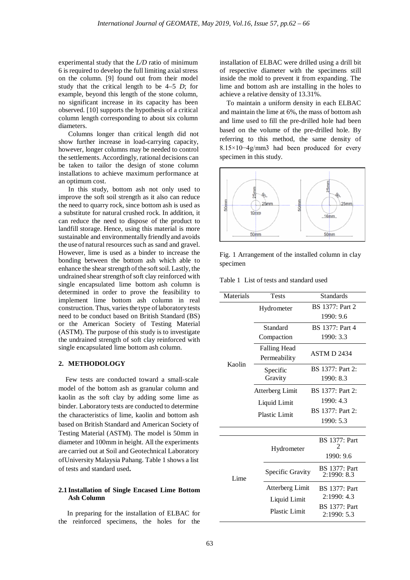experimental study that the *L/D* ratio of minimum 6 is required to develop the full limiting axial stress on the column. [9] found out from their model study that the critical length to be 4–5 *D*; for example, beyond this length of the stone column, no significant increase in its capacity has been observed. [10] supports the hypothesis of a critical column length corresponding to about six column diameters.

Columns longer than critical length did not show further increase in load-carrying capacity, however, longer columns may be needed to control the settlements. Accordingly, rational decisions can be taken to tailor the design of stone column installations to achieve maximum performance at an optimum cost.

In this study, bottom ash not only used to improve the soft soil strength as it also can reduce the need to quarry rock, since bottom ash is used as a substitute for natural crushed rock. In addition, it can reduce the need to dispose of the product to landfill storage. Hence, using this material is more sustainable and environmentally friendlyand avoids the use of natural resources such as sand and gravel. However, lime is used as a binder to increase the bonding between the bottom ash which able to enhance the shear strength of the soft soil. Lastly, the undrained shear strength of soft clay reinforced with single encapsulated lime bottom ash column is determined in order to prove the feasibility to implement lime bottom ash column in real construction. Thus, varies the type of laboratory tests need to be conduct based on British Standard (BS) or the American Society of Testing Material (ASTM). The purpose of this study is to investigate the undrained strength of soft clay reinforced with single encapsulated lime bottom ash column.

#### **2. METHODOLOGY**

 Few tests are conducted toward a small-scale model of the bottom ash as granular column and kaolin as the soft clay by adding some lime as binder. Laboratory tests are conducted to determine the characteristics of lime, kaolin and bottom ash based on British Standard and American Society of Testing Material (ASTM). The model is 50mm in diameter and 100mm in height. All the experiments are carried out at Soil and Geotechnical Laboratory of University Malaysia Pahang. Table 1 shows a list of tests and standard used**.** 

### **2.1 Installation of Single Encased Lime Bottom Ash Column**

 In preparing for the installation of ELBAC for the reinforced specimens, the holes for the

installation of ELBAC were drilled using a drill bit of respective diameter with the specimens still inside the mold to prevent it from expanding. The lime and bottom ash are installing in the holes to achieve a relative density of 13.31%.

 To maintain a uniform density in each ELBAC and maintain the lime at 6%, the mass of bottom ash and lime used to fill the pre-drilled hole had been based on the volume of the pre-drilled hole. By referring to this method, the same density of 8.15×10−4g/mm3 had been produced for every specimen in this study.



Fig. 1 Arrangement of the installed column in clay specimen

Table 1 List of tests and standard used

| Materials | <b>Tests</b>        | <b>Standards</b>                    |  |  |
|-----------|---------------------|-------------------------------------|--|--|
|           | Hydrometer          | <b>BS</b> 1377: Part 2              |  |  |
|           |                     | 1990: 9.6                           |  |  |
|           | Standard            | <b>BS</b> 1377: Part 4              |  |  |
|           | Compaction          | 1990: 3.3                           |  |  |
|           | <b>Falling Head</b> |                                     |  |  |
|           | Permeability        | <b>ASTM D 2434</b>                  |  |  |
| Kaolin    | Specific            | BS 1377: Part 2:                    |  |  |
|           | Gravity             | 1990: 8.3                           |  |  |
|           | Atterberg Limit     | <b>BS</b> 1377: Part 2:             |  |  |
|           | Liquid Limit        | 1990: 4.3                           |  |  |
|           | Plastic Limit       | BS 1377: Part 2:                    |  |  |
|           |                     | 1990: 5.3                           |  |  |
|           |                     |                                     |  |  |
|           |                     | <b>BS</b> 1377: Part<br>2           |  |  |
| Lime      | Hydrometer          | 1990: 9.6                           |  |  |
|           | Specific Gravity    | <b>BS</b> 1377: Part<br>2:1990: 8.3 |  |  |
|           | Atterberg Limit     | <b>BS</b> 1377: Part                |  |  |
|           | Liquid Limit        | 2:1990:4.3                          |  |  |
|           | Plastic Limit       | <b>BS</b> 1377: Part                |  |  |
|           |                     | 2:1990: 5.3                         |  |  |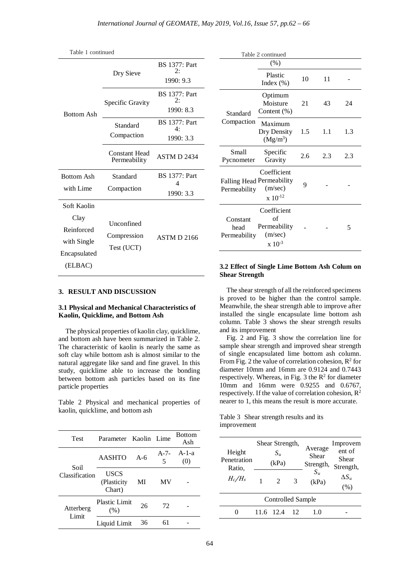| Table 1 continued                                                           |                                         |                                         | Table 2 continued                                                                                                                        |
|-----------------------------------------------------------------------------|-----------------------------------------|-----------------------------------------|------------------------------------------------------------------------------------------------------------------------------------------|
| <b>Bottom Ash</b>                                                           |                                         | <b>BS</b> 1377: Part                    | (% )                                                                                                                                     |
|                                                                             | Dry Sieve                               | 2:<br>1990: 9.3                         | Plastic<br>Index (%                                                                                                                      |
|                                                                             | Specific Gravity                        | <b>BS</b> 1377: Part<br>2:<br>1990: 8.3 | Optimur<br>Moistur<br>Content (9)<br>Standard                                                                                            |
|                                                                             | Standard<br>Compaction                  | <b>BS</b> 1377: Part<br>4:<br>1990: 3.3 | Compaction<br>Maximur<br>Dry Dens<br>$(Mg/m^3)$                                                                                          |
|                                                                             | <b>Constant Head</b><br>Permeability    | ASTM D 2434                             | Specific<br>Small<br>Pycnometer<br>Gravity                                                                                               |
| <b>Bottom Ash</b><br>with Lime                                              | Standard<br>Compaction                  | <b>BS</b> 1377: Part<br>4<br>1990: 3.3  | Coefficie<br>Falling Head Permeabil<br>(m/sec)<br>Permeability<br>$x 10^{-12}$                                                           |
| Soft Kaolin<br>Clay<br>Reinforced<br>with Single<br>Encapsulated<br>(ELBAC) | Unconfined<br>Compression<br>Test (UCT) | ASTM D 2166                             | Coefficie<br>of<br>Constant<br>Permeabil<br>head<br>(m/sec)<br>Permeability<br>$x 10^{-3}$<br>3.2 Effect of Single Lin<br>Choor Ctronoth |

| Table 2 continued                |                                                                            |     |     |     |
|----------------------------------|----------------------------------------------------------------------------|-----|-----|-----|
|                                  | (% )                                                                       |     |     |     |
|                                  | Plastic<br>Index $(\% )$                                                   | 10  | 11  |     |
| Standard                         | Optimum<br>Moisture<br>Content $(\%)$                                      | 21  | 43  | 24  |
| Compaction                       | Maximum<br>Dry Density<br>(Mg/m <sup>3</sup> )                             | 1.5 | 1.1 | 1.3 |
| Small<br>Pycnometer              | Specific<br>Gravity                                                        | 2.6 | 2.3 | 2.3 |
| Permeability                     | Coefficient<br><b>Falling Head Permeability</b><br>(m/sec)<br>$x 10^{-12}$ | 9   |     |     |
| Constant<br>head<br>Permeability | Coefficient<br>of<br>Permeability<br>(m/sec)<br>$x 10^{-3}$                |     |     | 5   |

# **3. RESULT AND DISCUSSION**

## **3.1 Physical and Mechanical Characteristics of Kaolin, Quicklime, and Bottom Ash**

 The physical properties of kaolin clay, quicklime, and bottom ash have been summarized in Table 2. The characteristic of kaolin is nearly the same as soft clay while bottom ash is almost similar to the natural aggregate like sand and fine gravel. In this study, quicklime able to increase the bonding between bottom ash particles based on its fine particle properties

Table 2 Physical and mechanical properties of kaolin, quicklime, and bottom ash

| <b>Test</b>               | Parameter Kaolin Lime          |       |                | <b>Bottom</b><br>Ash |
|---------------------------|--------------------------------|-------|----------------|----------------------|
|                           | <b>AASHTO</b>                  | $A-6$ | $A - 7 -$<br>5 | $A-1-a$<br>(0)       |
| Soil<br>Classification    | USCS<br>(Plasticity)<br>Chart) | MI    | MV             |                      |
| Atterberg<br><b>Limit</b> | <b>Plastic Limit</b><br>(% )   | 26    | 72             |                      |
|                           | Liquid Limit                   | 36    | 61             |                      |

# **3.2 Effect of Single Lime Bottom Ash Colum on Shear Strength**

 The shear strength of all the reinforced specimens is proved to be higher than the control sample. Meanwhile, the shear strength able to improve after installed the single encapsulate lime bottom ash column. Table 3 shows the shear strength results and its improvement

 Fig. 2 and Fig. 3 show the correlation line for sample shear strength and improved shear strength of single encapsulated lime bottom ash column. From Fig. 2 the value of correlation cohesion,  $R^2$  for diameter 10mm and 16mm are 0.9124 and 0.7443 respectively. Whereas, in Fig. 3 the  $\mathbb{R}^2$  for diameter 10mm and 16mm were 0.9255 and 0.6767, respectively. If the value of correlation cohesion,  $\mathbb{R}^2$ nearer to 1, this means the result is more accurate.

Table 3 Shear strength results and its improvement

| Height<br>Penetration<br>Ratio,<br>$H_c/H_s$ | Shear Strength,<br>$S_u$<br>(kPa) |               | Average<br>Shear<br>Strength, | Improvem<br>ent of<br>Shear<br>Strength, |                     |  |  |
|----------------------------------------------|-----------------------------------|---------------|-------------------------------|------------------------------------------|---------------------|--|--|
|                                              |                                   | $\mathcal{L}$ | 3                             | $S_u$<br>(kPa)                           | $\Delta S_u$<br>(%) |  |  |
| Controlled Sample                            |                                   |               |                               |                                          |                     |  |  |
|                                              | 11.6 12.4                         |               | 12                            | 1.0                                      |                     |  |  |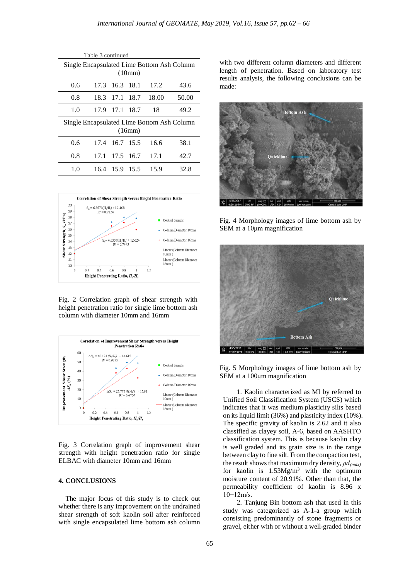| Table 3 continued                                    |      |           |           |       |       |  |
|------------------------------------------------------|------|-----------|-----------|-------|-------|--|
| Single Encapsulated Lime Bottom Ash Column<br>(10mm) |      |           |           |       |       |  |
| 0.6                                                  | 17.3 | 16.3 18.1 |           | 17.2  | 43.6  |  |
| 0.8                                                  | 18.3 |           | 17.1 18.7 | 18.00 | 50.00 |  |
| 1.0                                                  | 17.9 |           | 17.1 18.7 | 18    | 49.2  |  |
| Single Encapsulated Lime Bottom Ash Column<br>(16mm) |      |           |           |       |       |  |
| 0.6                                                  | 17.4 | 16.7      | 15.5      | 16.6  | 38.1  |  |
| 0.8                                                  | 17.1 |           | 17.5 16.7 | 17.1  | 42.7  |  |
| 1.0                                                  | 16.4 | 15.9      | 15.5      | 15.9  | 32.8  |  |



Fig. 2 Correlation graph of shear strength with height penetration ratio for single lime bottom ash column with diameter 10mm and 16mm



Fig. 3 Correlation graph of improvement shear strength with height penetration ratio for single ELBAC with diameter 10mm and 16mm

## **4. CONCLUSIONS**

The major focus of this study is to check out whether there is any improvement on the undrained shear strength of soft kaolin soil after reinforced with single encapsulated lime bottom ash column

with two different column diameters and different length of penetration. Based on laboratory test results analysis, the following conclusions can be made:



Fig. 4 Morphology images of lime bottom ash by SEM at a 10μm magnification



Fig. 5 Morphology images of lime bottom ash by SEM at a 100μm magnification

1. Kaolin characterized as MI by referred to Unified Soil Classification System (USCS) which indicates that it was medium plasticity silts based on its liquid limit (36%) and plasticity index (10%). The specific gravity of kaolin is 2.62 and it also classified as clayey soil, A-6, based on AASHTO classification system. This is because kaolin clay is well graded and its grain size is in the range between clay to fine silt. From the compaction test, the result shows that maximum dry density, *ρd(max)* for kaolin is  $1.53Mg/m<sup>3</sup>$  with the optimum moisture content of 20.91%. Other than that, the permeability coefficient of kaolin is 8.96 x 10−12m/s.

2. Tanjung Bin bottom ash that used in this study was categorized as A-1-a group which consisting predominantly of stone fragments or gravel, either with or without a well-graded binder